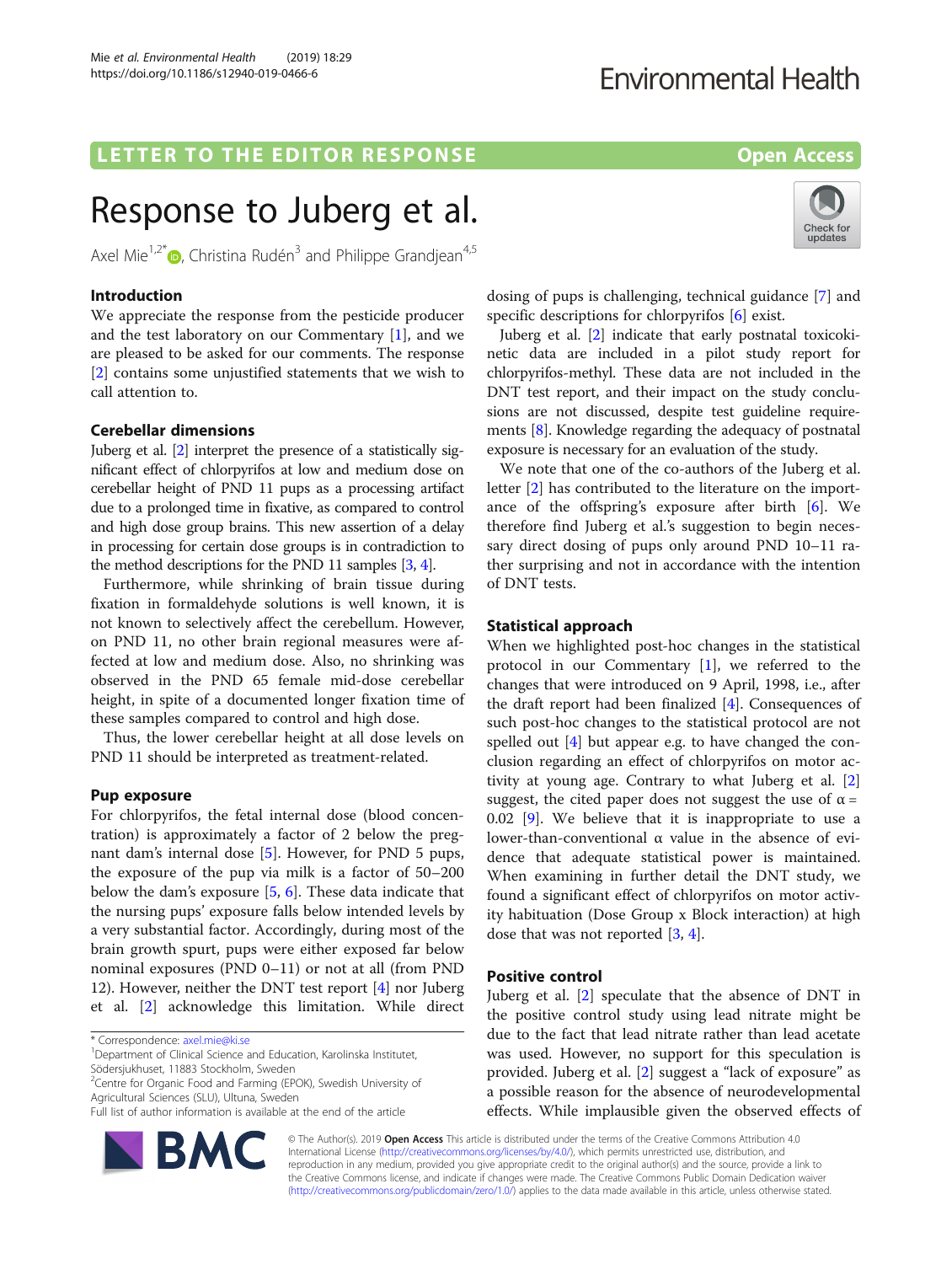## LETTER TO THE EDITOR RESPONSE EXAMPLE THE SPON SERVICE SUPPORTION OPEN Access

# Response to Juberg et al.

Axel Mie<sup>1,2\*</sup>  $\bullet$ , Christina Rudén<sup>3</sup> and Philippe Grandjean<sup>4,5</sup>

## Introduction

We appreciate the response from the pesticide producer and the test laboratory on our Commentary [[1\]](#page-1-0), and we are pleased to be asked for our comments. The response [[2\]](#page-1-0) contains some unjustified statements that we wish to call attention to.

## Cerebellar dimensions

Juberg et al. [[2](#page-1-0)] interpret the presence of a statistically significant effect of chlorpyrifos at low and medium dose on cerebellar height of PND 11 pups as a processing artifact due to a prolonged time in fixative, as compared to control and high dose group brains. This new assertion of a delay in processing for certain dose groups is in contradiction to the method descriptions for the PND 11 samples [\[3,](#page-2-0) [4\]](#page-2-0).

Furthermore, while shrinking of brain tissue during fixation in formaldehyde solutions is well known, it is not known to selectively affect the cerebellum. However, on PND 11, no other brain regional measures were affected at low and medium dose. Also, no shrinking was observed in the PND 65 female mid-dose cerebellar height, in spite of a documented longer fixation time of these samples compared to control and high dose.

Thus, the lower cerebellar height at all dose levels on PND 11 should be interpreted as treatment-related.

## Pup exposure

For chlorpyrifos, the fetal internal dose (blood concentration) is approximately a factor of 2 below the pregnant dam's internal dose [[5\]](#page-2-0). However, for PND 5 pups, the exposure of the pup via milk is a factor of 50–200 below the dam's exposure [\[5](#page-2-0), [6](#page-2-0)]. These data indicate that the nursing pups' exposure falls below intended levels by a very substantial factor. Accordingly, during most of the brain growth spurt, pups were either exposed far below nominal exposures (PND 0–11) or not at all (from PND 12). However, neither the DNT test report [\[4](#page-2-0)] nor Juberg et al. [\[2](#page-1-0)] acknowledge this limitation. While direct

<sup>2</sup>Centre for Organic Food and Farming (EPOK), Swedish University of Agricultural Sciences (SLU), Ultuna, Sweden

Full list of author information is available at the end of the article





dosing of pups is challenging, technical guidance [\[7](#page-2-0)] and specific descriptions for chlorpyrifos [[6](#page-2-0)] exist.

Juberg et al. [[2\]](#page-1-0) indicate that early postnatal toxicokinetic data are included in a pilot study report for chlorpyrifos-methyl. These data are not included in the DNT test report, and their impact on the study conclusions are not discussed, despite test guideline requirements [\[8](#page-2-0)]. Knowledge regarding the adequacy of postnatal exposure is necessary for an evaluation of the study.

We note that one of the co-authors of the Juberg et al. letter [\[2](#page-1-0)] has contributed to the literature on the importance of the offspring's exposure after birth [[6\]](#page-2-0). We therefore find Juberg et al.'s suggestion to begin necessary direct dosing of pups only around PND 10–11 rather surprising and not in accordance with the intention of DNT tests.

## Statistical approach

When we highlighted post-hoc changes in the statistical protocol in our Commentary  $[1]$  $[1]$ , we referred to the changes that were introduced on 9 April, 1998, i.e., after the draft report had been finalized [[4\]](#page-2-0). Consequences of such post-hoc changes to the statistical protocol are not spelled out  $[4]$  $[4]$  but appear e.g. to have changed the conclusion regarding an effect of chlorpyrifos on motor activity at young age. Contrary to what Juberg et al. [\[2](#page-1-0)] suggest, the cited paper does not suggest the use of  $\alpha$  = 0.02 [[9\]](#page-2-0). We believe that it is inappropriate to use a lower-than-conventional α value in the absence of evidence that adequate statistical power is maintained. When examining in further detail the DNT study, we found a significant effect of chlorpyrifos on motor activity habituation (Dose Group x Block interaction) at high dose that was not reported [[3,](#page-2-0) [4\]](#page-2-0).

## Positive control

Juberg et al. [[2\]](#page-1-0) speculate that the absence of DNT in the positive control study using lead nitrate might be due to the fact that lead nitrate rather than lead acetate was used. However, no support for this speculation is provided. Juberg et al. [\[2](#page-1-0)] suggest a "lack of exposure" as a possible reason for the absence of neurodevelopmental effects. While implausible given the observed effects of

© The Author(s). 2019 **Open Access** This article is distributed under the terms of the Creative Commons Attribution 4.0 International License [\(http://creativecommons.org/licenses/by/4.0/](http://creativecommons.org/licenses/by/4.0/)), which permits unrestricted use, distribution, and reproduction in any medium, provided you give appropriate credit to the original author(s) and the source, provide a link to the Creative Commons license, and indicate if changes were made. The Creative Commons Public Domain Dedication waiver [\(http://creativecommons.org/publicdomain/zero/1.0/](http://creativecommons.org/publicdomain/zero/1.0/)) applies to the data made available in this article, unless otherwise stated.

<sup>\*</sup> Correspondence: [axel.mie@ki.se](mailto:axel.mie@ki.se) <sup>1</sup>

<sup>&</sup>lt;sup>1</sup>Department of Clinical Science and Education, Karolinska Institutet, Södersjukhuset, 11883 Stockholm, Sweden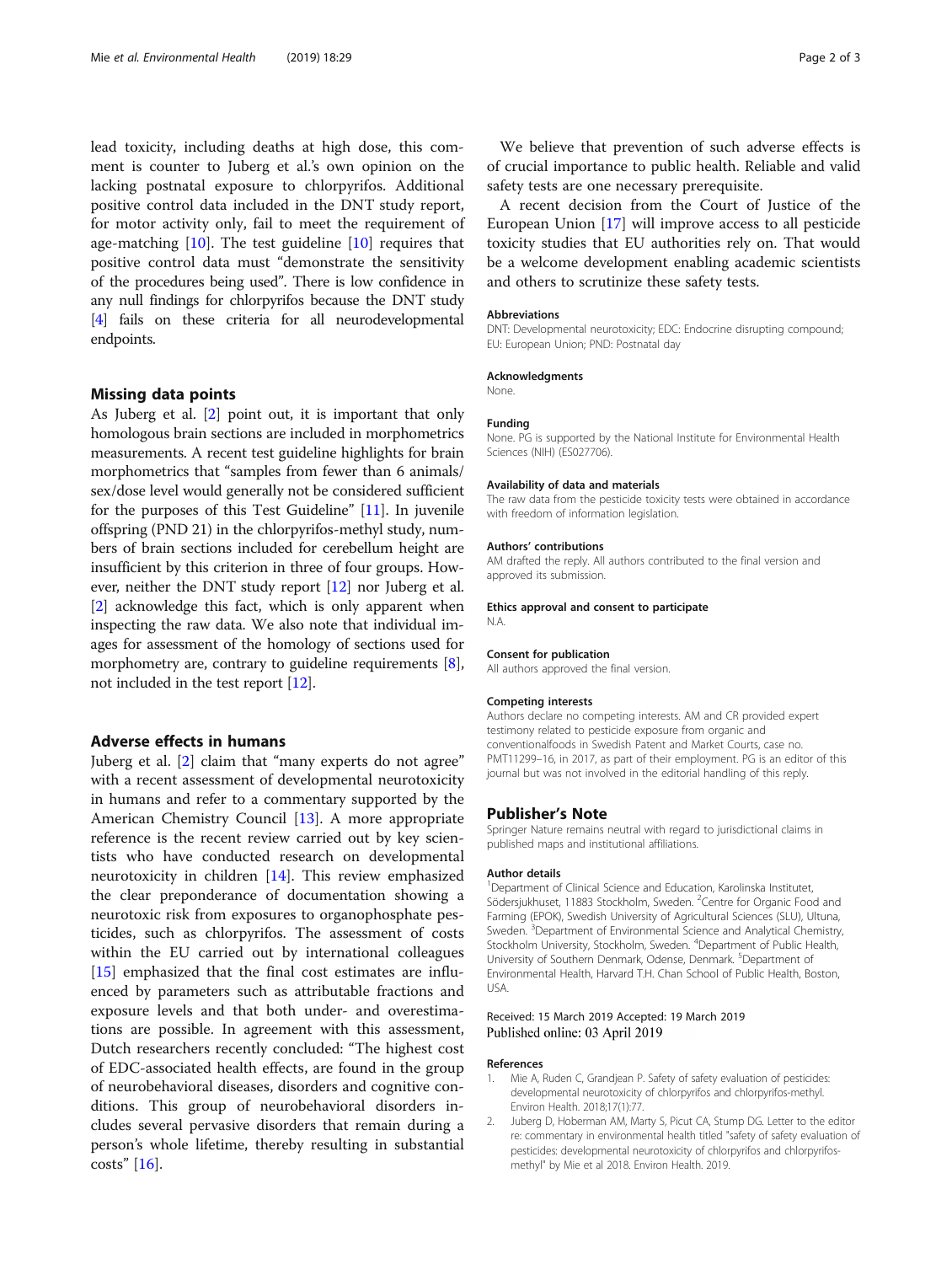<span id="page-1-0"></span>lead toxicity, including deaths at high dose, this comment is counter to Juberg et al.'s own opinion on the lacking postnatal exposure to chlorpyrifos. Additional positive control data included in the DNT study report, for motor activity only, fail to meet the requirement of age-matching  $[10]$  $[10]$ . The test guideline  $[10]$  requires that positive control data must "demonstrate the sensitivity of the procedures being used". There is low confidence in any null findings for chlorpyrifos because the DNT study [[4](#page-2-0)] fails on these criteria for all neurodevelopmental endpoints.

#### Missing data points

As Juberg et al. [2] point out, it is important that only homologous brain sections are included in morphometrics measurements. A recent test guideline highlights for brain morphometrics that "samples from fewer than 6 animals/ sex/dose level would generally not be considered sufficient for the purposes of this Test Guideline" [[11](#page-2-0)]. In juvenile offspring (PND 21) in the chlorpyrifos-methyl study, numbers of brain sections included for cerebellum height are insufficient by this criterion in three of four groups. However, neither the DNT study report [\[12\]](#page-2-0) nor Juberg et al. [2] acknowledge this fact, which is only apparent when inspecting the raw data. We also note that individual images for assessment of the homology of sections used for morphometry are, contrary to guideline requirements [[8](#page-2-0)], not included in the test report [[12](#page-2-0)].

### Adverse effects in humans

Juberg et al. [2] claim that "many experts do not agree" with a recent assessment of developmental neurotoxicity in humans and refer to a commentary supported by the American Chemistry Council [\[13\]](#page-2-0). A more appropriate reference is the recent review carried out by key scientists who have conducted research on developmental neurotoxicity in children [\[14](#page-2-0)]. This review emphasized the clear preponderance of documentation showing a neurotoxic risk from exposures to organophosphate pesticides, such as chlorpyrifos. The assessment of costs within the EU carried out by international colleagues [[15\]](#page-2-0) emphasized that the final cost estimates are influenced by parameters such as attributable fractions and exposure levels and that both under- and overestimations are possible. In agreement with this assessment, Dutch researchers recently concluded: "The highest cost of EDC-associated health effects, are found in the group of neurobehavioral diseases, disorders and cognitive conditions. This group of neurobehavioral disorders includes several pervasive disorders that remain during a person's whole lifetime, thereby resulting in substantial costs" [[16\]](#page-2-0).

We believe that prevention of such adverse effects is of crucial importance to public health. Reliable and valid safety tests are one necessary prerequisite.

A recent decision from the Court of Justice of the European Union [\[17\]](#page-2-0) will improve access to all pesticide toxicity studies that EU authorities rely on. That would be a welcome development enabling academic scientists and others to scrutinize these safety tests.

#### Abbreviations

DNT: Developmental neurotoxicity; EDC: Endocrine disrupting compound; EU: European Union; PND: Postnatal day

#### Acknowledgments

None.

#### Funding

None. PG is supported by the National Institute for Environmental Health Sciences (NIH) (ES027706).

#### Availability of data and materials

The raw data from the pesticide toxicity tests were obtained in accordance with freedom of information legislation.

#### Authors' contributions

AM drafted the reply. All authors contributed to the final version and approved its submission.

#### Ethics approval and consent to participate

N.A.

#### Consent for publication

All authors approved the final version.

#### Competing interests

Authors declare no competing interests. AM and CR provided expert testimony related to pesticide exposure from organic and conventionalfoods in Swedish Patent and Market Courts, case no. PMT11299–16, in 2017, as part of their employment. PG is an editor of this journal but was not involved in the editorial handling of this reply.

#### Publisher's Note

Springer Nature remains neutral with regard to jurisdictional claims in published maps and institutional affiliations.

#### Author details

<sup>1</sup>Department of Clinical Science and Education, Karolinska Institutet, Södersjukhuset, 11883 Stockholm, Sweden. <sup>2</sup> Centre for Organic Food and Farming (EPOK), Swedish University of Agricultural Sciences (SLU), Ultuna, Sweden. <sup>3</sup> Department of Environmental Science and Analytical Chemistry Stockholm University, Stockholm, Sweden. <sup>4</sup>Department of Public Health, University of Southern Denmark, Odense, Denmark. <sup>5</sup>Department of Environmental Health, Harvard T.H. Chan School of Public Health, Boston, USA.

#### Received: 15 March 2019 Accepted: 19 March 2019 Published online: 03 April 2019

#### References

- 1. Mie A, Ruden C, Grandjean P. Safety of safety evaluation of pesticides: developmental neurotoxicity of chlorpyrifos and chlorpyrifos-methyl. Environ Health. 2018;17(1):77.
- 2. Juberg D, Hoberman AM, Marty S, Picut CA, Stump DG. Letter to the editor re: commentary in environmental health titled "safety of safety evaluation of pesticides: developmental neurotoxicity of chlorpyrifos and chlorpyrifosmethyl" by Mie et al 2018. Environ Health. 2019.